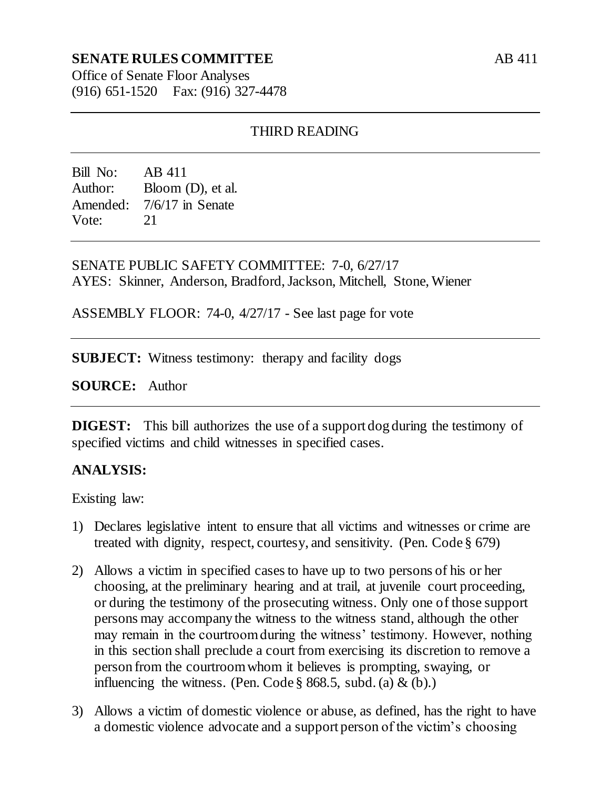## **SENATE RULES COMMITTEE**

Office of Senate Floor Analyses (916) 651-1520 Fax: (916) 327-4478

## THIRD READING

Bill No: AB 411 Author: Bloom (D), et al. Amended: 7/6/17 in Senate Vote: 21

SENATE PUBLIC SAFETY COMMITTEE: 7-0, 6/27/17 AYES: Skinner, Anderson, Bradford, Jackson, Mitchell, Stone, Wiener

ASSEMBLY FLOOR: 74-0, 4/27/17 - See last page for vote

**SUBJECT:** Witness testimony: therapy and facility dogs

**SOURCE:** Author

**DIGEST:** This bill authorizes the use of a support dog during the testimony of specified victims and child witnesses in specified cases.

## **ANALYSIS:**

Existing law:

- 1) Declares legislative intent to ensure that all victims and witnesses or crime are treated with dignity, respect, courtesy, and sensitivity. (Pen. Code § 679)
- 2) Allows a victim in specified cases to have up to two persons of his or her choosing, at the preliminary hearing and at trail, at juvenile court proceeding, or during the testimony of the prosecuting witness. Only one of those support persons may accompany the witness to the witness stand, although the other may remain in the courtroom during the witness' testimony. However, nothing in this section shall preclude a court from exercising its discretion to remove a person from the courtroom whom it believes is prompting, swaying, or influencing the witness. (Pen. Code  $\S$  868.5, subd. (a)  $\&$  (b).)
- 3) Allows a victim of domestic violence or abuse, as defined, has the right to have a domestic violence advocate and a support person of the victim's choosing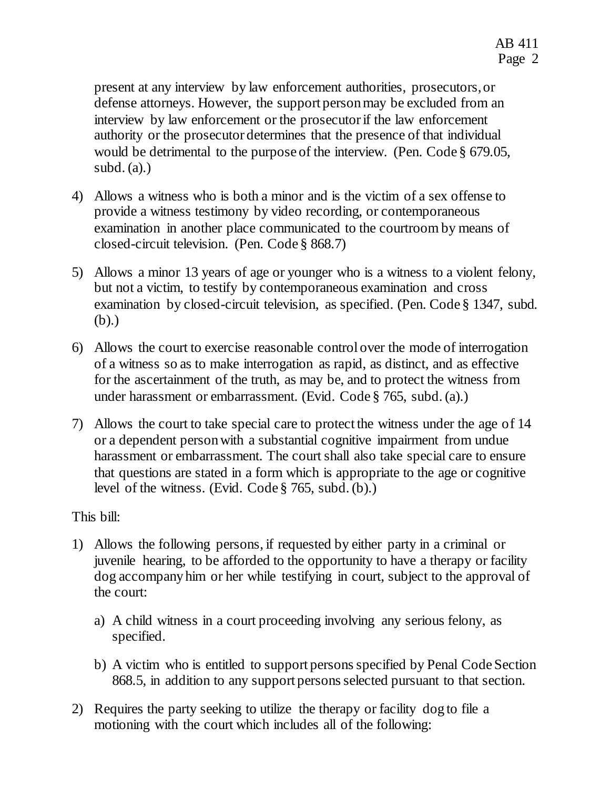present at any interview by law enforcement authorities, prosecutors, or defense attorneys. However, the support person may be excluded from an interview by law enforcement or the prosecutor if the law enforcement authority or the prosecutor determines that the presence of that individual would be detrimental to the purpose of the interview. (Pen. Code § 679.05, subd.  $(a)$ .)

- 4) Allows a witness who is both a minor and is the victim of a sex offense to provide a witness testimony by video recording, or contemporaneous examination in another place communicated to the courtroom by means of closed-circuit television. (Pen. Code § 868.7)
- 5) Allows a minor 13 years of age or younger who is a witness to a violent felony, but not a victim, to testify by contemporaneous examination and cross examination by closed-circuit television, as specified. (Pen. Code § 1347, subd. (b).)
- 6) Allows the court to exercise reasonable control over the mode of interrogation of a witness so as to make interrogation as rapid, as distinct, and as effective for the ascertainment of the truth, as may be, and to protect the witness from under harassment or embarrassment. (Evid. Code § 765, subd. (a).)
- 7) Allows the court to take special care to protect the witness under the age of 14 or a dependent person with a substantial cognitive impairment from undue harassment or embarrassment. The court shall also take special care to ensure that questions are stated in a form which is appropriate to the age or cognitive level of the witness. (Evid. Code § 765, subd. (b).)

This bill:

- 1) Allows the following persons, if requested by either party in a criminal or juvenile hearing, to be afforded to the opportunity to have a therapy or facility dog accompany him or her while testifying in court, subject to the approval of the court:
	- a) A child witness in a court proceeding involving any serious felony, as specified.
	- b) A victim who is entitled to support persons specified by Penal Code Section 868.5, in addition to any support persons selected pursuant to that section.
- 2) Requires the party seeking to utilize the therapy or facility dog to file a motioning with the court which includes all of the following: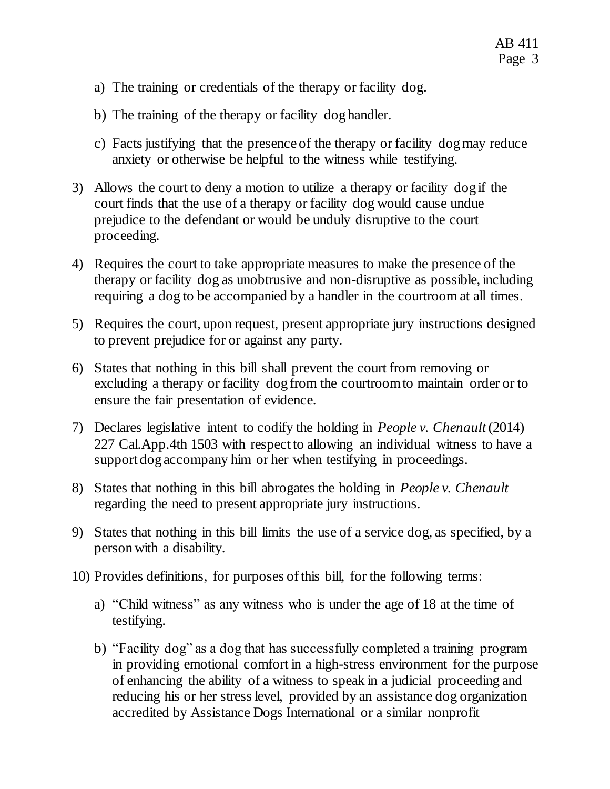- a) The training or credentials of the therapy or facility dog.
- b) The training of the therapy or facility dog handler.
- c) Facts justifying that the presence of the therapy or facility dog may reduce anxiety or otherwise be helpful to the witness while testifying.
- 3) Allows the court to deny a motion to utilize a therapy or facility dog if the court finds that the use of a therapy or facility dog would cause undue prejudice to the defendant or would be unduly disruptive to the court proceeding.
- 4) Requires the court to take appropriate measures to make the presence of the therapy or facility dog as unobtrusive and non-disruptive as possible, including requiring a dog to be accompanied by a handler in the courtroom at all times.
- 5) Requires the court, upon request, present appropriate jury instructions designed to prevent prejudice for or against any party.
- 6) States that nothing in this bill shall prevent the court from removing or excluding a therapy or facility dog from the courtroom to maintain order or to ensure the fair presentation of evidence.
- 7) Declares legislative intent to codify the holding in *People v. Chenault* (2014) 227 Cal.App.4th 1503 with respect to allowing an individual witness to have a support dog accompany him or her when testifying in proceedings.
- 8) States that nothing in this bill abrogates the holding in *People v. Chenault*  regarding the need to present appropriate jury instructions.
- 9) States that nothing in this bill limits the use of a service dog, as specified, by a person with a disability.
- 10) Provides definitions, for purposes of this bill, for the following terms:
	- a) "Child witness" as any witness who is under the age of 18 at the time of testifying.
	- b) "Facility dog" as a dog that has successfully completed a training program in providing emotional comfort in a high-stress environment for the purpose of enhancing the ability of a witness to speak in a judicial proceeding and reducing his or her stress level, provided by an assistance dog organization accredited by Assistance Dogs International or a similar nonprofit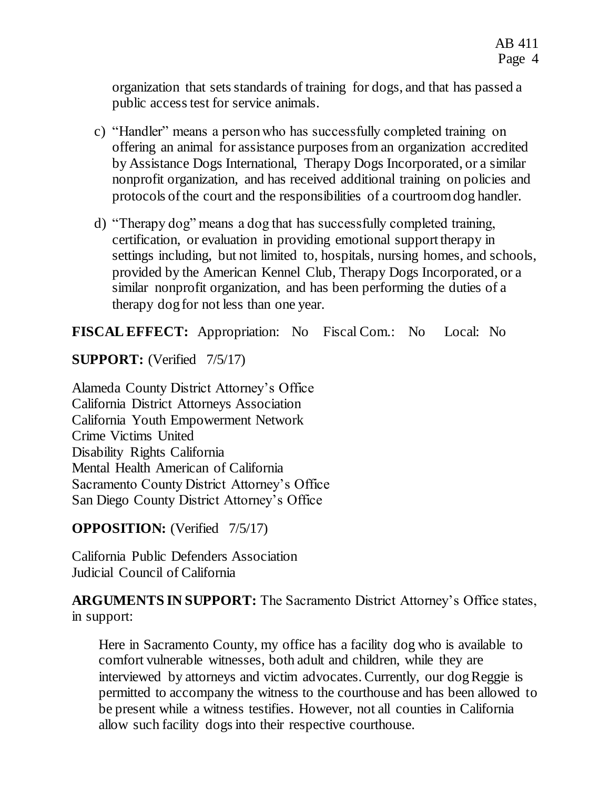organization that sets standards of training for dogs, and that has passed a public access test for service animals.

- c) "Handler" means a person who has successfully completed training on offering an animal for assistance purposes from an organization accredited by Assistance Dogs International, Therapy Dogs Incorporated, or a similar nonprofit organization, and has received additional training on policies and protocols of the court and the responsibilities of a courtroom dog handler.
- d) "Therapy dog" means a dog that has successfully completed training, certification, or evaluation in providing emotional support therapy in settings including, but not limited to, hospitals, nursing homes, and schools, provided by the American Kennel Club, Therapy Dogs Incorporated, or a similar nonprofit organization, and has been performing the duties of a therapy dog for not less than one year.

**FISCAL EFFECT:** Appropriation: No Fiscal Com.: No Local: No

**SUPPORT:** (Verified  $7/5/17$ )

Alameda County District Attorney's Office California District Attorneys Association California Youth Empowerment Network Crime Victims United Disability Rights California Mental Health American of California Sacramento County District Attorney's Office San Diego County District Attorney's Office

**OPPOSITION:** (Verified 7/5/17)

California Public Defenders Association Judicial Council of California

**ARGUMENTS IN SUPPORT:** The Sacramento District Attorney's Office states, in support:

Here in Sacramento County, my office has a facility dog who is available to comfort vulnerable witnesses, both adult and children, while they are interviewed by attorneys and victim advocates. Currently, our dog Reggie is permitted to accompany the witness to the courthouse and has been allowed to be present while a witness testifies. However, not all counties in California allow such facility dogs into their respective courthouse.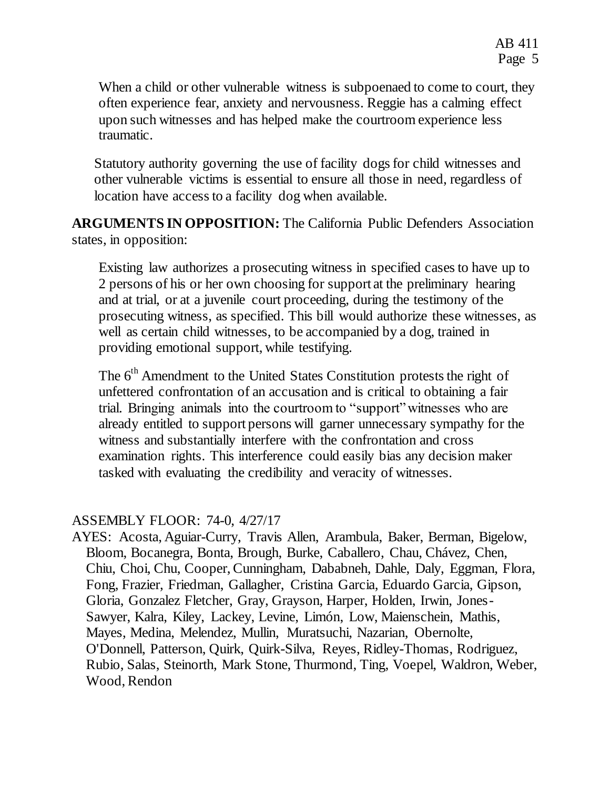When a child or other vulnerable witness is subpoenaed to come to court, they often experience fear, anxiety and nervousness. Reggie has a calming effect upon such witnesses and has helped make the courtroom experience less traumatic.

Statutory authority governing the use of facility dogs for child witnesses and other vulnerable victims is essential to ensure all those in need, regardless of location have access to a facility dog when available.

**ARGUMENTS IN OPPOSITION:** The California Public Defenders Association states, in opposition:

Existing law authorizes a prosecuting witness in specified cases to have up to 2 persons of his or her own choosing for support at the preliminary hearing and at trial, or at a juvenile court proceeding, during the testimony of the prosecuting witness, as specified. This bill would authorize these witnesses, as well as certain child witnesses, to be accompanied by a dog, trained in providing emotional support, while testifying.

The 6<sup>th</sup> Amendment to the United States Constitution protests the right of unfettered confrontation of an accusation and is critical to obtaining a fair trial. Bringing animals into the courtroom to "support" witnesses who are already entitled to support persons will garner unnecessary sympathy for the witness and substantially interfere with the confrontation and cross examination rights. This interference could easily bias any decision maker tasked with evaluating the credibility and veracity of witnesses.

## ASSEMBLY FLOOR: 74-0, 4/27/17

AYES: Acosta, Aguiar-Curry, Travis Allen, Arambula, Baker, Berman, Bigelow, Bloom, Bocanegra, Bonta, Brough, Burke, Caballero, Chau, Chávez, Chen, Chiu, Choi, Chu, Cooper, Cunningham, Dababneh, Dahle, Daly, Eggman, Flora, Fong, Frazier, Friedman, Gallagher, Cristina Garcia, Eduardo Garcia, Gipson, Gloria, Gonzalez Fletcher, Gray, Grayson, Harper, Holden, Irwin, Jones-Sawyer, Kalra, Kiley, Lackey, Levine, Limón, Low, Maienschein, Mathis, Mayes, Medina, Melendez, Mullin, Muratsuchi, Nazarian, Obernolte, O'Donnell, Patterson, Quirk, Quirk-Silva, Reyes, Ridley-Thomas, Rodriguez, Rubio, Salas, Steinorth, Mark Stone, Thurmond, Ting, Voepel, Waldron, Weber, Wood, Rendon